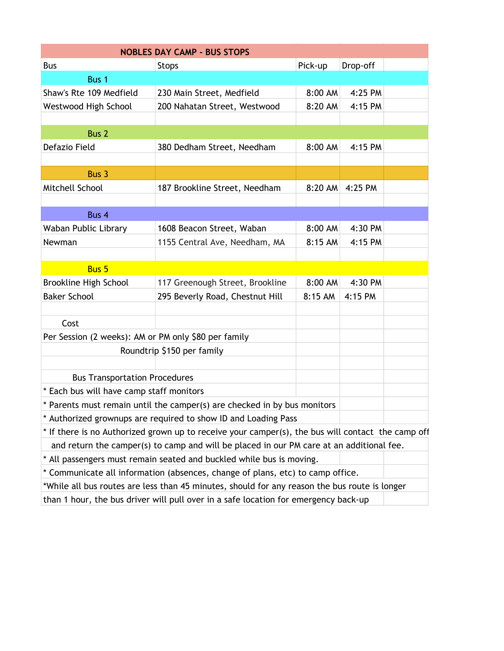|                                                      | <b>NOBLES DAY CAMP - BUS STOPS</b>                                                                |         |          |  |
|------------------------------------------------------|---------------------------------------------------------------------------------------------------|---------|----------|--|
| <b>Bus</b>                                           | <b>Stops</b>                                                                                      | Pick-up | Drop-off |  |
| Bus 1                                                |                                                                                                   |         |          |  |
| Shaw's Rte 109 Medfield                              | 230 Main Street, Medfield                                                                         | 8:00 AM | 4:25 PM  |  |
| Westwood High School                                 | 200 Nahatan Street, Westwood                                                                      | 8:20 AM | 4:15 PM  |  |
|                                                      |                                                                                                   |         |          |  |
| Bus <sub>2</sub>                                     |                                                                                                   |         |          |  |
| Defazio Field                                        | 380 Dedham Street, Needham                                                                        | 8:00 AM | 4:15 PM  |  |
|                                                      |                                                                                                   |         |          |  |
| Bus 3                                                |                                                                                                   |         |          |  |
| Mitchell School                                      | 187 Brookline Street, Needham                                                                     | 8:20 AM | 4:25 PM  |  |
|                                                      |                                                                                                   |         |          |  |
| Bus 4                                                |                                                                                                   |         |          |  |
| Waban Public Library                                 | 1608 Beacon Street, Waban                                                                         | 8:00 AM | 4:30 PM  |  |
| Newman                                               | 1155 Central Ave, Needham, MA                                                                     | 8:15 AM | 4:15 PM  |  |
|                                                      |                                                                                                   |         |          |  |
| <b>Bus 5</b>                                         |                                                                                                   |         |          |  |
| Brookline High School                                | 117 Greenough Street, Brookline                                                                   | 8:00 AM | 4:30 PM  |  |
| <b>Baker School</b>                                  | 295 Beverly Road, Chestnut Hill                                                                   | 8:15 AM | 4:15 PM  |  |
|                                                      |                                                                                                   |         |          |  |
| Cost                                                 |                                                                                                   |         |          |  |
| Per Session (2 weeks): AM or PM only \$80 per family |                                                                                                   |         |          |  |
|                                                      | Roundtrip \$150 per family                                                                        |         |          |  |
|                                                      |                                                                                                   |         |          |  |
| <b>Bus Transportation Procedures</b>                 |                                                                                                   |         |          |  |
| * Each bus will have camp staff monitors             |                                                                                                   |         |          |  |
|                                                      | * Parents must remain until the camper(s) are checked in by bus monitors                          |         |          |  |
|                                                      | * Authorized grownups are required to show ID and Loading Pass                                    |         |          |  |
|                                                      | * If there is no Authorized grown up to receive your camper(s), the bus will contact the camp off |         |          |  |
|                                                      | and return the camper(s) to camp and will be placed in our PM care at an additional fee.          |         |          |  |
|                                                      | * All passengers must remain seated and buckled while bus is moving.                              |         |          |  |
|                                                      | * Communicate all information (absences, change of plans, etc) to camp office.                    |         |          |  |
|                                                      |                                                                                                   |         |          |  |

\*While all bus routes are less than 45 minutes, should for any reason the bus route is longer than 1 hour, the bus driver will pull over in a safe location for emergency back-up